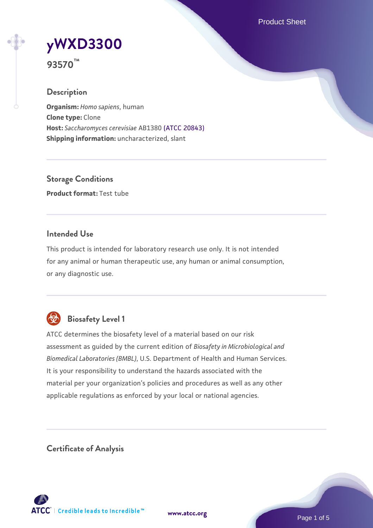Product Sheet

# **[yWXD3300](https://www.atcc.org/products/93570)**

**93570™**

# **Description**

**Organism:** *Homo sapiens*, human **Clone type:** Clone **Host:** *Saccharomyces cerevisiae* AB1380 [\(ATCC 20843\)](https://www.atcc.org/products/20843) **Shipping information:** uncharacterized, slant

**Storage Conditions Product format:** Test tube

# **Intended Use**

This product is intended for laboratory research use only. It is not intended for any animal or human therapeutic use, any human or animal consumption, or any diagnostic use.



# **Biosafety Level 1**

ATCC determines the biosafety level of a material based on our risk assessment as guided by the current edition of *Biosafety in Microbiological and Biomedical Laboratories (BMBL)*, U.S. Department of Health and Human Services. It is your responsibility to understand the hazards associated with the material per your organization's policies and procedures as well as any other applicable regulations as enforced by your local or national agencies.

**Certificate of Analysis**

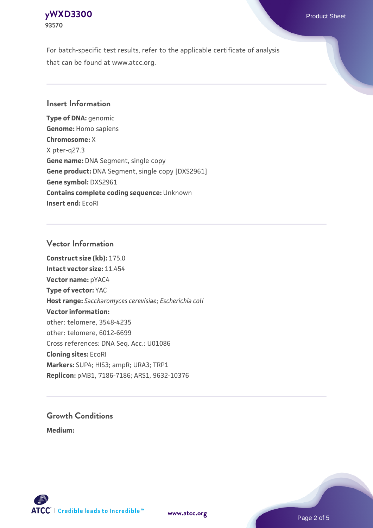# **[yWXD3300](https://www.atcc.org/products/93570)** Product Sheet **93570**

For batch-specific test results, refer to the applicable certificate of analysis that can be found at www.atcc.org.

## **Insert Information**

**Type of DNA:** genomic **Genome:** Homo sapiens **Chromosome:** X X pter-q27.3 **Gene name:** DNA Segment, single copy **Gene product:** DNA Segment, single copy [DXS2961] **Gene symbol:** DXS2961 **Contains complete coding sequence:** Unknown **Insert end:** EcoRI

## **Vector Information**

**Construct size (kb):** 175.0 **Intact vector size:** 11.454 **Vector name:** pYAC4 **Type of vector:** YAC **Host range:** *Saccharomyces cerevisiae*; *Escherichia coli* **Vector information:** other: telomere, 3548-4235 other: telomere, 6012-6699 Cross references: DNA Seq. Acc.: U01086 **Cloning sites:** EcoRI **Markers:** SUP4; HIS3; ampR; URA3; TRP1 **Replicon:** pMB1, 7186-7186; ARS1, 9632-10376

# **Growth Conditions**

**Medium:** 



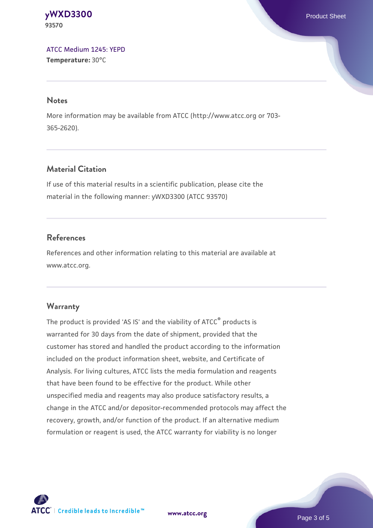#### **[yWXD3300](https://www.atcc.org/products/93570)** Product Sheet **93570**

[ATCC Medium 1245: YEPD](https://www.atcc.org/-/media/product-assets/documents/microbial-media-formulations/1/2/4/5/atcc-medium-1245.pdf?rev=705ca55d1b6f490a808a965d5c072196) **Temperature:** 30°C

#### **Notes**

More information may be available from ATCC (http://www.atcc.org or 703- 365-2620).

# **Material Citation**

If use of this material results in a scientific publication, please cite the material in the following manner: yWXD3300 (ATCC 93570)

# **References**

References and other information relating to this material are available at www.atcc.org.

# **Warranty**

The product is provided 'AS IS' and the viability of ATCC® products is warranted for 30 days from the date of shipment, provided that the customer has stored and handled the product according to the information included on the product information sheet, website, and Certificate of Analysis. For living cultures, ATCC lists the media formulation and reagents that have been found to be effective for the product. While other unspecified media and reagents may also produce satisfactory results, a change in the ATCC and/or depositor-recommended protocols may affect the recovery, growth, and/or function of the product. If an alternative medium formulation or reagent is used, the ATCC warranty for viability is no longer



**[www.atcc.org](http://www.atcc.org)**

Page 3 of 5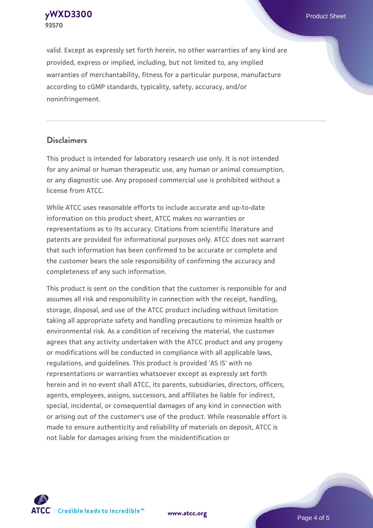**[yWXD3300](https://www.atcc.org/products/93570)** Product Sheet **93570**

valid. Except as expressly set forth herein, no other warranties of any kind are provided, express or implied, including, but not limited to, any implied warranties of merchantability, fitness for a particular purpose, manufacture according to cGMP standards, typicality, safety, accuracy, and/or noninfringement.

#### **Disclaimers**

This product is intended for laboratory research use only. It is not intended for any animal or human therapeutic use, any human or animal consumption, or any diagnostic use. Any proposed commercial use is prohibited without a license from ATCC.

While ATCC uses reasonable efforts to include accurate and up-to-date information on this product sheet, ATCC makes no warranties or representations as to its accuracy. Citations from scientific literature and patents are provided for informational purposes only. ATCC does not warrant that such information has been confirmed to be accurate or complete and the customer bears the sole responsibility of confirming the accuracy and completeness of any such information.

This product is sent on the condition that the customer is responsible for and assumes all risk and responsibility in connection with the receipt, handling, storage, disposal, and use of the ATCC product including without limitation taking all appropriate safety and handling precautions to minimize health or environmental risk. As a condition of receiving the material, the customer agrees that any activity undertaken with the ATCC product and any progeny or modifications will be conducted in compliance with all applicable laws, regulations, and guidelines. This product is provided 'AS IS' with no representations or warranties whatsoever except as expressly set forth herein and in no event shall ATCC, its parents, subsidiaries, directors, officers, agents, employees, assigns, successors, and affiliates be liable for indirect, special, incidental, or consequential damages of any kind in connection with or arising out of the customer's use of the product. While reasonable effort is made to ensure authenticity and reliability of materials on deposit, ATCC is not liable for damages arising from the misidentification or



**[www.atcc.org](http://www.atcc.org)**

Page 4 of 5